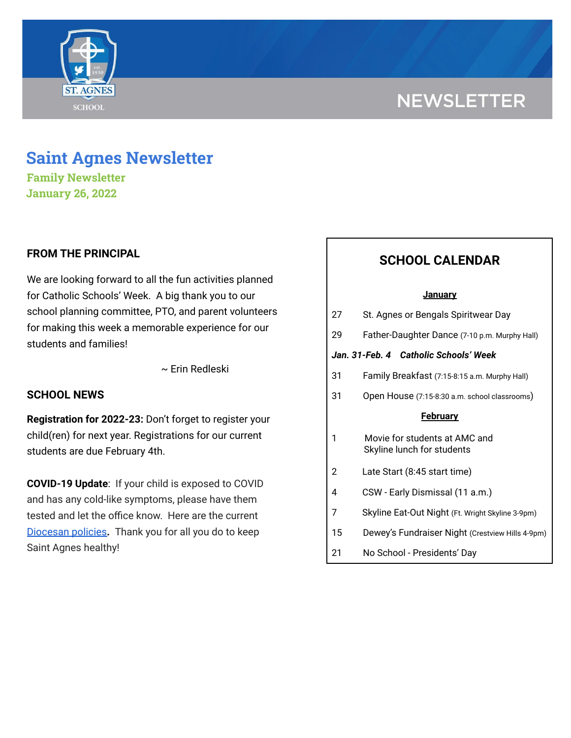# **NEWSLETTER**



## **Saint Agnes Newsletter**

**Family Newsletter January 26, 2022**

## **FROM THE PRINCIPAL**

We are looking forward to all the fun activities planned for Catholic Schools' Week. A big thank you to our school planning committee, PTO, and parent volunteers for making this week a memorable experience for our students and families!

~ Erin Redleski

## **SCHOOL NEWS**

**Registration for 2022-23:** Don't forget to register your child(ren) for next year. Registrations for our current students are due February 4th.

**COVID-19 Update**: If your child is exposed to COVID and has any cold-like symptoms, please have them tested and let the office know. Here are the current [Diocesan](https://school.saintagnes.com/wp-content/uploads/2022/01/COVID-19-School-Requirements-2021-2022-January-Update.pdf) policies**.** Thank you for all you do to keep Saint Agnes healthy!

## **SCHOOL CALENDAR**

#### **January**

| 27                                    | St. Agnes or Bengals Spiritwear Day                         |
|---------------------------------------|-------------------------------------------------------------|
| 29                                    | Father-Daughter Dance (7-10 p.m. Murphy Hall)               |
| Jan. 31-Feb. 4 Catholic Schools' Week |                                                             |
| 31                                    | Family Breakfast (7:15-8:15 a.m. Murphy Hall)               |
| 31                                    | Open House (7:15-8:30 a.m. school classrooms)               |
| <b>February</b>                       |                                                             |
| 1                                     | Movie for students at AMC and<br>Skyline lunch for students |
| 2                                     | Late Start (8:45 start time)                                |
| 4                                     | CSW - Early Dismissal (11 a.m.)                             |
| 7                                     | Skyline Eat-Out Night (Ft. Wright Skyline 3-9pm)            |
| 15                                    | Dewey's Fundraiser Night (Crestview Hills 4-9pm)            |
|                                       |                                                             |

21 No School - Presidents' Day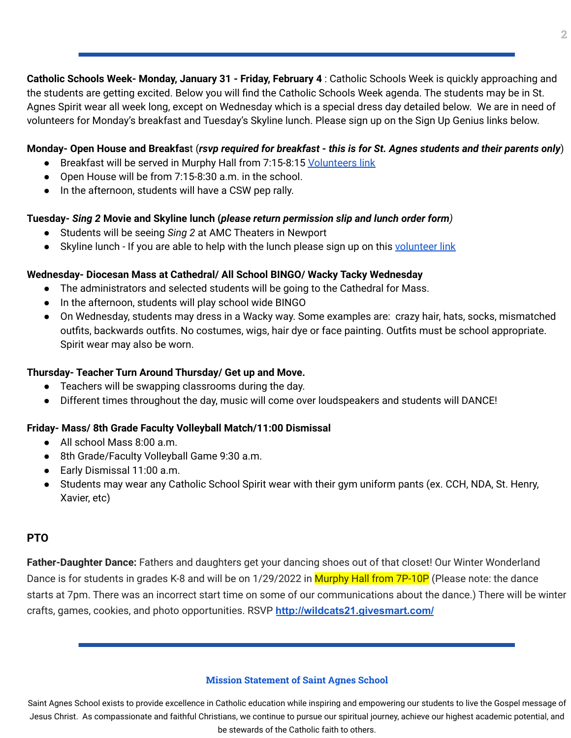**Catholic Schools Week- Monday, January 31 - Friday, February 4** : Catholic Schools Week is quickly approaching and the students are getting excited. Below you will find the Catholic Schools Week agenda. The students may be in St. Agnes Spirit wear all week long, except on Wednesday which is a special dress day detailed below. We are in need of volunteers for Monday's breakfast and Tuesday's Skyline lunch. Please sign up on the Sign Up Genius links below.

#### Monday- Open House and Breakfast (rsvp required for breakfast - this is for St. Agnes students and their parents only)

- Breakfast will be served in Murphy Hall from 7:15-8:15 [Volunteers](https://www.signupgenius.com/go/70A0C4EAAA728A7FF2-family) link
- Open House will be from 7:15-8:30 a.m. in the school.
- In the afternoon, students will have a CSW pep rally.

### **Tuesday-** *Sing 2* **Movie and Skyline lunch (***please return permission slip and lunch order form)*

- Students will be seeing *Sing 2* at AMC Theaters in Newport
- Skyline lunch If you are able to help with the lunch please sign up on this [volunteer](https://www.signupgenius.com/go/70A0C4EAAA728A7FF2-skyline) link

### **Wednesday- Diocesan Mass at Cathedral/ All School BINGO/ Wacky Tacky Wednesday**

- The administrators and selected students will be going to the Cathedral for Mass.
- In the afternoon, students will play school wide BINGO
- On Wednesday, students may dress in a Wacky way. Some examples are: crazy hair, hats, socks, mismatched outfits, backwards outfits. No costumes, wigs, hair dye or face painting. Outfits must be school appropriate. Spirit wear may also be worn.

#### **Thursday- Teacher Turn Around Thursday/ Get up and Move.**

- Teachers will be swapping classrooms during the day.
- Different times throughout the day, music will come over loudspeakers and students will DANCE!

## **Friday- Mass/ 8th Grade Faculty Volleyball Match/11:00 Dismissal**

- All school Mass 8:00 a.m.
- 8th Grade/Faculty Volleyball Game 9:30 a.m.
- Early Dismissal 11:00 a.m.
- Students may wear any Catholic School Spirit wear with their gym uniform pants (ex. CCH, NDA, St. Henry, Xavier, etc)

#### **PTO**

**Father-Daughter Dance:** Fathers and daughters get your dancing shoes out of that closet! Our Winter Wonderland Dance is for students in grades K-8 and will be on 1/29/2022 in Murphy Hall from 7P-10P (Please note: the dance starts at 7pm. There was an incorrect start time on some of our communications about the dance.) There will be winter crafts, games, cookies, and photo opportunities. RSVP **<http://wildcats21.givesmart.com/>**

#### **Mission Statement of Saint Agnes School**

Saint Agnes School exists to provide excellence in Catholic education while inspiring and empowering our students to live the Gospel message of Jesus Christ. As compassionate and faithful Christians, we continue to pursue our spiritual journey, achieve our highest academic potential, and be stewards of the Catholic faith to others.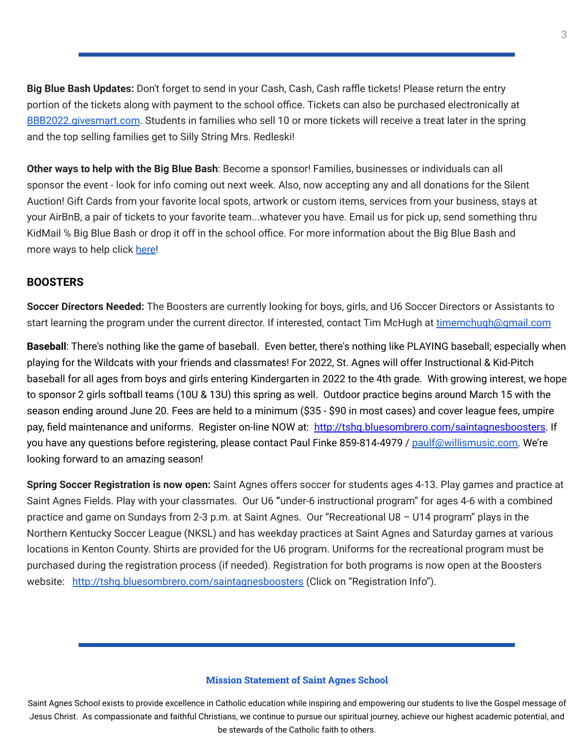**Big Blue Bash Updates:** Don't forget to send in your Cash, Cash, Cash raffle tickets! Please return the entry portion of the tickets along with payment to the school office. Tickets can also be purchased electronically at [BBB2022.givesmart.com](http://bbb2022.givesmart.com/). Students in families who sell 10 or more tickets will receive a treat later in the spring and the top selling families get to Silly String Mrs. Redleski!

**Other ways to help with the Big Blue Bash**: Become a sponsor! Families, businesses or individuals can all sponsor the event - look for info coming out next week. Also, now accepting any and all donations for the Silent Auction! Gift Cards from your favorite local spots, artwork or custom items, services from your business, stays at your AirBnB, a pair of tickets to your favorite team...whatever you have. Email us for pick up, send something thru KidMail ℅ Big Blue Bash or drop it off in the school office. For more information about the Big Blue Bash and more ways to help click [here!](https://bbb2022.givesmart.com/)

#### **BOOSTERS**

**Soccer Directors Needed:** The Boosters are currently looking for boys, girls, and U6 Soccer Directors or Assistants to start learning the program under the current director. If interested, contact Tim McHugh at [timemchugh@gmail.com](mailto:timemchugh@gmail.com)

**Baseball**: There's nothing like the game of baseball. Even better, there's nothing like PLAYING baseball; especially when playing for the Wildcats with your friends and classmates! For 2022, St. Agnes will offer Instructional & Kid-Pitch baseball for all ages from boys and girls entering Kindergarten in 2022 to the 4th grade. With growing interest, we hope to sponsor 2 girls softball teams (10U & 13U) this spring as well. Outdoor practice begins around March 15 with the season ending around June 20. Fees are held to a minimum (\$35 - \$90 in most cases) and cover league fees, umpire pay, field maintenance and uniforms. Register on-line NOW at: <http://tshq.bluesombrero.com/saintagnesboosters>. If you have any questions before registering, please contact Paul Finke 859-814-4979 / [paulf@willismusic.com.](mailto:paulf@willismusic.com) We're looking forward to an amazing season!

**Spring Soccer Registration is now open:** Saint Agnes offers soccer for students ages 4-13. Play games and practice at Saint Agnes Fields. Play with your classmates. Our U6 **"**under-6 instructional program" for ages 4-6 with a combined practice and game on Sundays from 2-3 p.m. at Saint Agnes. Our "Recreational U8 – U14 program" plays in the Northern Kentucky Soccer League (NKSL) and has weekday practices at Saint Agnes and Saturday games at various locations in Kenton County. Shirts are provided for the U6 program. Uniforms for the recreational program must be purchased during the registration process (if needed). Registration for both programs is now open at the Boosters website: <http://tshq.bluesombrero.com/saintagnesboosters> (Click on "Registration Info").

#### **Mission Statement of Saint Agnes School**

Saint Agnes School exists to provide excellence in Catholic education while inspiring and empowering our students to live the Gospel message of Jesus Christ. As compassionate and faithful Christians, we continue to pursue our spiritual journey, achieve our highest academic potential, and be stewards of the Catholic faith to others.